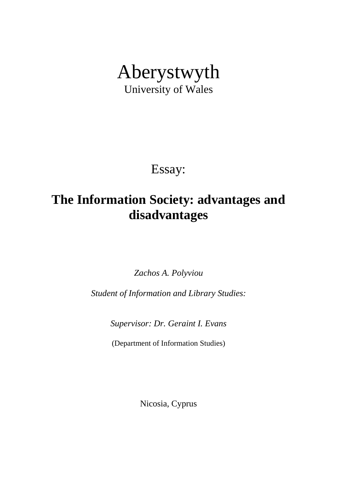# Aberystwyth University of Wales

Essay:

# **The Information Society: advantages and disadvantages**

*Zachos A. Polyviou* 

*Student of Information and Library Studies:* 

*Supervisor: Dr. Geraint I. Evans* 

(Department of Information Studies)

Nicosia, Cyprus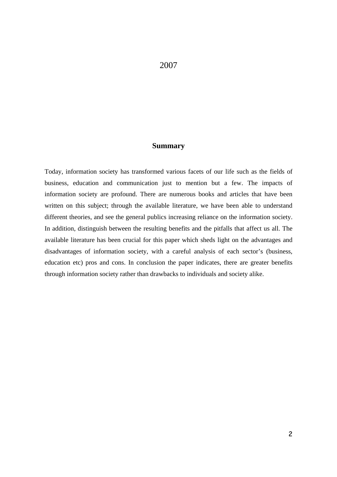## **Summary**

Today, information society has transformed various facets of our life such as the fields of business, education and communication just to mention but a few. The impacts of information society are profound. There are numerous books and articles that have been written on this subject; through the available literature, we have been able to understand different theories, and see the general publics increasing reliance on the information society. In addition, distinguish between the resulting benefits and the pitfalls that affect us all. The available literature has been crucial for this paper which sheds light on the advantages and disadvantages of information society, with a careful analysis of each sector's (business, education etc) pros and cons. In conclusion the paper indicates, there are greater benefits through information society rather than drawbacks to individuals and society alike.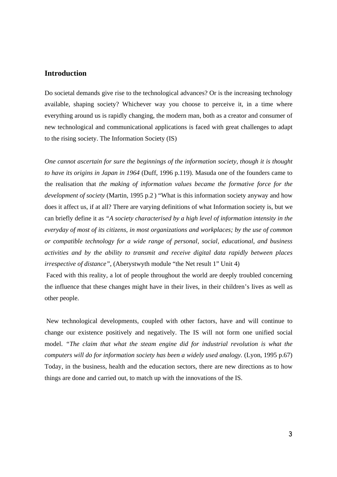#### **Introduction**

Do societal demands give rise to the technological advances? Or is the increasing technology available, shaping society? Whichever way you choose to perceive it, in a time where everything around us is rapidly changing, the modern man, both as a creator and consumer of new technological and communicational applications is faced with great challenges to adapt to the rising society. The Information Society (IS)

*One cannot ascertain for sure the beginnings of the information society, though it is thought to have its origins in Japan in 1964* (Duff, 1996 p.119). Masuda one of the founders came to the realisation that *the making of information values became the formative force for the development of society* (Martin, 1995 p.2 ) "What is this information society anyway and how does it affect us, if at all? There are varying definitions of what Information society is, but we can briefly define it as *"A society characterised by a high level of information intensity in the everyday of most of its citizens, in most organizations and workplaces; by the use of common or compatible technology for a wide range of personal, social, educational, and business activities and by the ability to transmit and receive digital data rapidly between places irrespective of distance"*, (Aberystwyth module "the Net result 1" Unit 4)

 Faced with this reality, a lot of people throughout the world are deeply troubled concerning the influence that these changes might have in their lives, in their children's lives as well as other people.

 New technological developments, coupled with other factors, have and will continue to change our existence positively and negatively. The IS will not form one unified social model. *"The claim that what the steam engine did for industrial revolution is what the computers will do for information society has been a widely used analogy.* (Lyon, 1995 p.67) Today, in the business, health and the education sectors, there are new directions as to how things are done and carried out, to match up with the innovations of the IS.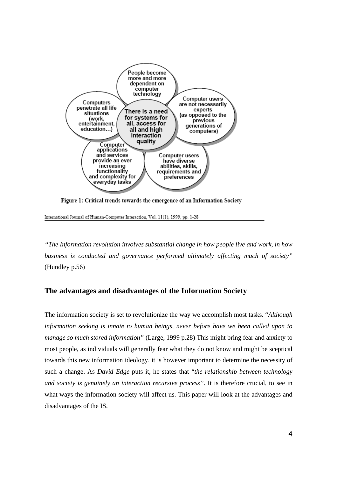

Figure 1: Critical trends towards the emergence of an Information Society

International Journal of Human-Computer Interaction, Vol. 11(1), 1999, pp. 1-28

*"The Information revolution involves substantial change in how people live and work, in how business is conducted and governance performed ultimately affecting much of society"* (Hundley p.56)

#### **The advantages and disadvantages of the Information Society**

The information society is set to revolutionize the way we accomplish most tasks. "*Although information seeking is innate to human beings, never before have we been called upon to manage so much stored information"* (Large, 1999 p.28) This might bring fear and anxiety to most people, as individuals will generally fear what they do not know and might be sceptical towards this new information ideology, it is however important to determine the necessity of such a change. As *David Edge* puts it, he states that "*the relationship between technology and society is genuinely an interaction recursive process"*. It is therefore crucial, to see in what ways the information society will affect us. This paper will look at the advantages and disadvantages of the IS.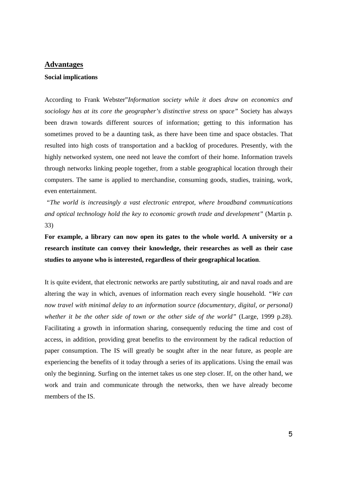#### **Advantages**

#### **Social implications**

According to Frank Webster"*Information society while it does draw on economics and sociology has at its core the geographer's distinctive stress on space"* Society has always been drawn towards different sources of information; getting to this information has sometimes proved to be a daunting task, as there have been time and space obstacles. That resulted into high costs of transportation and a backlog of procedures. Presently, with the highly networked system, one need not leave the comfort of their home. Information travels through networks linking people together, from a stable geographical location through their computers. The same is applied to merchandise, consuming goods, studies, training, work, even entertainment.

 *"The world is increasingly a vast electronic entrepot, where broadband communications and optical technology hold the key to economic growth trade and development"* (Martin p. 33)

**For example, a library can now open its gates to the whole world. A university or a research institute can convey their knowledge, their researches as well as their case studies to anyone who is interested, regardless of their geographical location**.

It is quite evident, that electronic networks are partly substituting, air and naval roads and are altering the way in which, avenues of information reach every single household. *"We can now travel with minimal delay to an information source (documentary, digital, or personal) whether it be the other side of town or the other side of the world"* (Large, 1999 p.28). Facilitating a growth in information sharing, consequently reducing the time and cost of access, in addition, providing great benefits to the environment by the radical reduction of paper consumption. The IS will greatly be sought after in the near future, as people are experiencing the benefits of it today through a series of its applications. Using the email was only the beginning. Surfing on the internet takes us one step closer. If, on the other hand, we work and train and communicate through the networks, then we have already become members of the IS.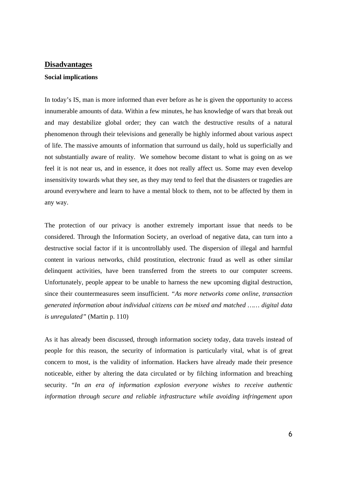#### **Disadvantages**

#### **Social implications**

In today's IS, man is more informed than ever before as he is given the opportunity to access innumerable amounts of data. Within a few minutes, he has knowledge of wars that break out and may destabilize global order; they can watch the destructive results of a natural phenomenon through their televisions and generally be highly informed about various aspect of life. The massive amounts of information that surround us daily, hold us superficially and not substantially aware of reality. We somehow become distant to what is going on as we feel it is not near us, and in essence, it does not really affect us. Some may even develop insensitivity towards what they see, as they may tend to feel that the disasters or tragedies are around everywhere and learn to have a mental block to them, not to be affected by them in any way.

The protection of our privacy is another extremely important issue that needs to be considered. Through the Information Society, an overload of negative data, can turn into a destructive social factor if it is uncontrollably used. The dispersion of illegal and harmful content in various networks, child prostitution, electronic fraud as well as other similar delinquent activities, have been transferred from the streets to our computer screens. Unfortunately, people appear to be unable to harness the new upcoming digital destruction, since their countermeasures seem insufficient. *"As more networks come online, transaction generated information about individual citizens can be mixed and matched …… digital data is unregulated"* (Martin p. 110)

As it has already been discussed, through information society today, data travels instead of people for this reason, the security of information is particularly vital, what is of great concern to most, is the validity of information. Hackers have already made their presence noticeable, either by altering the data circulated or by filching information and breaching security. "*In an era of information explosion everyone wishes to receive authentic information through secure and reliable infrastructure while avoiding infringement upon*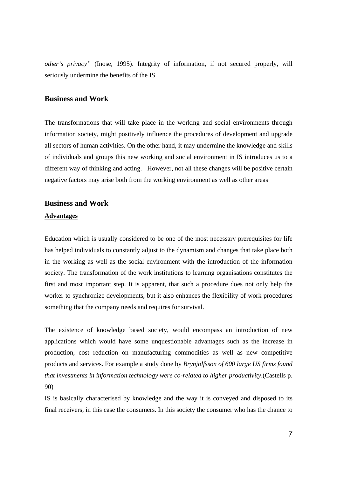*other's privacy"* (Inose, 1995). Integrity of information, if not secured properly, will seriously undermine the benefits of the IS.

#### **Business and Work**

The transformations that will take place in the working and social environments through information society, might positively influence the procedures of development and upgrade all sectors of human activities. On the other hand, it may undermine the knowledge and skills of individuals and groups this new working and social environment in IS introduces us to a different way of thinking and acting. However, not all these changes will be positive certain negative factors may arise both from the working environment as well as other areas

# **Business and Work Advantages**

Education which is usually considered to be one of the most necessary prerequisites for life has helped individuals to constantly adjust to the dynamism and changes that take place both in the working as well as the social environment with the introduction of the information society. The transformation of the work institutions to learning organisations constitutes the first and most important step. It is apparent, that such a procedure does not only help the worker to synchronize developments, but it also enhances the flexibility of work procedures something that the company needs and requires for survival.

The existence of knowledge based society, would encompass an introduction of new applications which would have some unquestionable advantages such as the increase in production, cost reduction on manufacturing commodities as well as new competitive products and services. For example a study done by *Brynjolfsson of 600 large US firms found that investments in information technology were co-related to higher productivity*.(Castells p. 90)

IS is basically characterised by knowledge and the way it is conveyed and disposed to its final receivers, in this case the consumers. In this society the consumer who has the chance to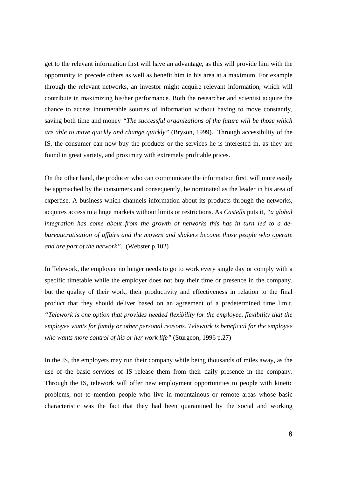get to the relevant information first will have an advantage, as this will provide him with the opportunity to precede others as well as benefit him in his area at a maximum. For example through the relevant networks, an investor might acquire relevant information, which will contribute in maximizing his/her performance. Both the researcher and scientist acquire the chance to access innumerable sources of information without having to move constantly, saving both time and money *"The successful organizations of the future will be those which are able to move quickly and change quickly"* (Bryson, 1999). Through accessibility of the IS, the consumer can now buy the products or the services he is interested in, as they are found in great variety, and proximity with extremely profitable prices.

On the other hand, the producer who can communicate the information first, will more easily be approached by the consumers and consequently, be nominated as the leader in his area of expertise. A business which channels information about its products through the networks, acquires access to a huge markets without limits or restrictions. As *Castells* puts it, *"a global integration has come about from the growth of networks this has in turn led to a debureaucratisation of affairs and the movers and shakers become those people who operate and are part of the network"*. (Webster p.102)

In Telework, the employee no longer needs to go to work every single day or comply with a specific timetable while the employer does not buy their time or presence in the company, but the quality of their work, their productivity and effectiveness in relation to the final product that they should deliver based on an agreement of a predetermined time limit. *"Telework is one option that provides needed flexibility for the employee, flexibility that the employee wants for family or other personal reasons. Telework is beneficial for the employee who wants more control of his or her work life"* (Sturgeon, 1996 p.27)

In the IS, the employers may run their company while being thousands of miles away, as the use of the basic services of IS release them from their daily presence in the company. Through the IS, telework will offer new employment opportunities to people with kinetic problems, not to mention people who live in mountainous or remote areas whose basic characteristic was the fact that they had been quarantined by the social and working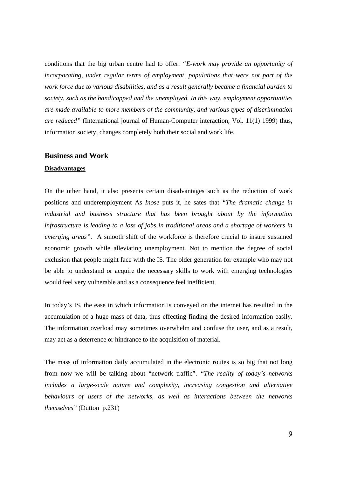conditions that the big urban centre had to offer. *"E-work may provide an opportunity of incorporating, under regular terms of employment, populations that were not part of the work force due to various disabilities, and as a result generally became a financial burden to society, such as the handicapped and the unemployed. In this way, employment opportunities are made available to more members of the community, and various types of discrimination are reduced"* (International journal of Human-Computer interaction, Vol. 11(1) 1999) thus, information society, changes completely both their social and work life.

#### **Business and Work**

#### **Disadvantages**

On the other hand, it also presents certain disadvantages such as the reduction of work positions and underemployment As *Inose* puts it, he sates that *"The dramatic change in industrial and business structure that has been brought about by the information infrastructure is leading to a loss of jobs in traditional areas and a shortage of workers in emerging areas"*. A smooth shift of the workforce is therefore crucial to insure sustained economic growth while alleviating unemployment. Not to mention the degree of social exclusion that people might face with the IS. The older generation for example who may not be able to understand or acquire the necessary skills to work with emerging technologies would feel very vulnerable and as a consequence feel inefficient.

In today's IS, the ease in which information is conveyed on the internet has resulted in the accumulation of a huge mass of data, thus effecting finding the desired information easily. The information overload may sometimes overwhelm and confuse the user, and as a result, may act as a deterrence or hindrance to the acquisition of material.

The mass of information daily accumulated in the electronic routes is so big that not long from now we will be talking about "network traffic". *"The reality of today's networks includes a large-scale nature and complexity, increasing congestion and alternative behaviours of users of the networks, as well as interactions between the networks themselves"* (Dutton p.231)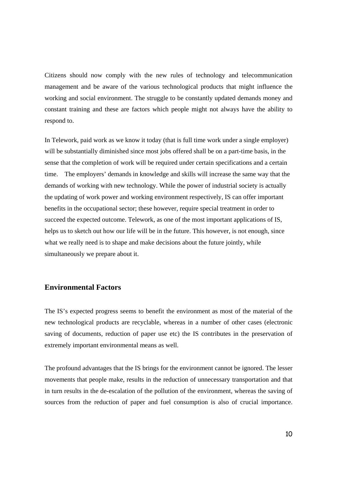Citizens should now comply with the new rules of technology and telecommunication management and be aware of the various technological products that might influence the working and social environment. The struggle to be constantly updated demands money and constant training and these are factors which people might not always have the ability to respond to.

In Telework, paid work as we know it today (that is full time work under a single employer) will be substantially diminished since most jobs offered shall be on a part-time basis, in the sense that the completion of work will be required under certain specifications and a certain time. The employers' demands in knowledge and skills will increase the same way that the demands of working with new technology. While the power of industrial society is actually the updating of work power and working environment respectively, IS can offer important benefits in the occupational sector; these however, require special treatment in order to succeed the expected outcome. Telework, as one of the most important applications of IS, helps us to sketch out how our life will be in the future. This however, is not enough, since what we really need is to shape and make decisions about the future jointly, while simultaneously we prepare about it.

### **Environmental Factors**

The IS's expected progress seems to benefit the environment as most of the material of the new technological products are recyclable, whereas in a number of other cases (electronic saving of documents, reduction of paper use etc) the IS contributes in the preservation of extremely important environmental means as well.

The profound advantages that the IS brings for the environment cannot be ignored. The lesser movements that people make, results in the reduction of unnecessary transportation and that in turn results in the de-escalation of the pollution of the environment, whereas the saving of sources from the reduction of paper and fuel consumption is also of crucial importance.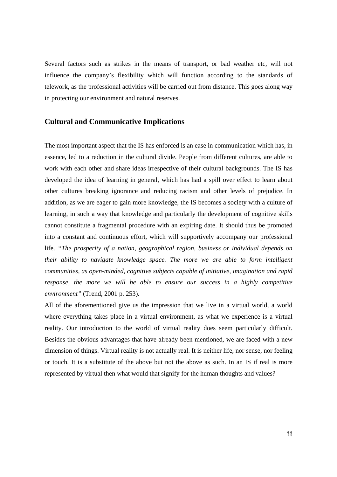Several factors such as strikes in the means of transport, or bad weather etc, will not influence the company's flexibility which will function according to the standards of telework, as the professional activities will be carried out from distance. This goes along way in protecting our environment and natural reserves.

## **Cultural and Communicative Implications**

The most important aspect that the IS has enforced is an ease in communication which has, in essence, led to a reduction in the cultural divide. People from different cultures, are able to work with each other and share ideas irrespective of their cultural backgrounds. The IS has developed the idea of learning in general, which has had a spill over effect to learn about other cultures breaking ignorance and reducing racism and other levels of prejudice. In addition, as we are eager to gain more knowledge, the IS becomes a society with a culture of learning, in such a way that knowledge and particularly the development of cognitive skills cannot constitute a fragmental procedure with an expiring date. It should thus be promoted into a constant and continuous effort, which will supportively accompany our professional life. *"The prosperity of a nation, geographical region, business or individual depends on their ability to navigate knowledge space. The more we are able to form intelligent communities, as open-minded, cognitive subjects capable of initiative, imagination and rapid response, the more we will be able to ensure our success in a highly competitive environment"* (Trend, 2001 p. 253).

All of the aforementioned give us the impression that we live in a virtual world, a world where everything takes place in a virtual environment, as what we experience is a virtual reality. Our introduction to the world of virtual reality does seem particularly difficult. Besides the obvious advantages that have already been mentioned, we are faced with a new dimension of things. Virtual reality is not actually real. It is neither life, nor sense, nor feeling or touch. It is a substitute of the above but not the above as such. In an IS if real is more represented by virtual then what would that signify for the human thoughts and values?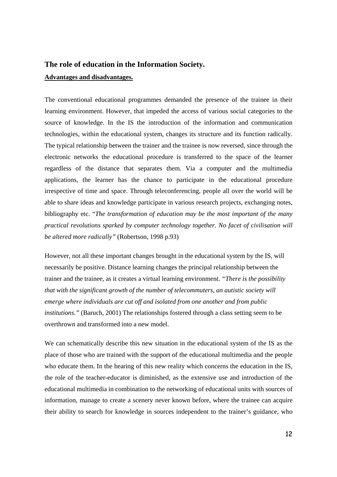# **The role of education in the Information Society. Advantages and disadvantages.**

The conventional educational programmes demanded the presence of the trainee in their learning environment. However, that impeded the access of various social categories to the source of knowledge. In the IS the introduction of the information and communication technologies, within the educational system, changes its structure and its function radically. The typical relationship between the trainer and the trainee is now reversed, since through the electronic networks the educational procedure is transferred to the space of the learner regardless of the distance that separates them. Via a computer and the multimedia applications, the learner has the chance to participate in the educational procedure irrespective of time and space. Through teleconferencing, people all over the world will be able to share ideas and knowledge participate in various research projects, exchanging notes, bibliography etc. "*The transformation of education may be the most important of the many practical revolutions sparked by computer technology together. No facet of civilisation will be altered more radically"* (Robertson, 1998 p.93)

However, not all these important changes brought in the educational system by the IS, will necessarily be positive. Distance learning changes the principal relationship between the trainer and the trainee, as it creates a virtual learning environment. *"There is the possibility that with the significant growth of the number of telecommuters, an autistic society will emerge where individuals are cut off and isolated from one another and from public institutions."* (Baruch, 2001) The relationships fostered through a class setting seem to be overthrown and transformed into a new model.

We can schematically describe this new situation in the educational system of the IS as the place of those who are trained with the support of the educational multimedia and the people who educate them. In the hearing of this new reality which concerns the education in the IS, the role of the teacher-educator is diminished, as the extensive use and introduction of the educational multimedia in combination to the networking of educational units with sources of information, manage to create a scenery never known before, where the trainee can acquire their ability to search for knowledge in sources independent to the trainer's guidance, who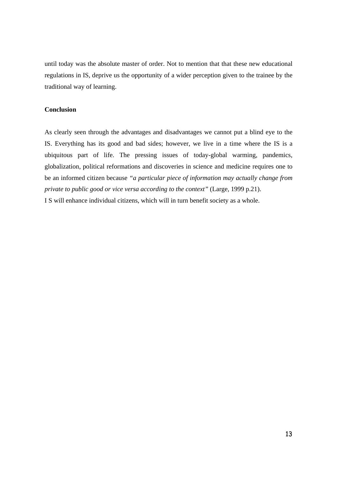until today was the absolute master of order. Not to mention that that these new educational regulations in IS, deprive us the opportunity of a wider perception given to the trainee by the traditional way of learning.

#### **Conclusion**

As clearly seen through the advantages and disadvantages we cannot put a blind eye to the IS. Everything has its good and bad sides; however, we live in a time where the IS is a ubiquitous part of life. The pressing issues of today-global warming, pandemics, globalization, political reformations and discoveries in science and medicine requires one to be an informed citizen because *"a particular piece of information may actually change from private to public good or vice versa according to the context"* (Large, 1999 p.21). I S will enhance individual citizens, which will in turn benefit society as a whole.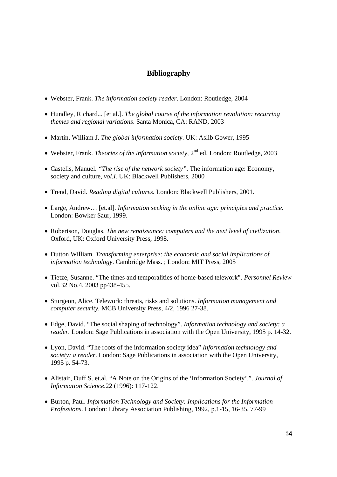## **Bibliography**

- Webster, Frank. *The information society reader*. London: Routledge, 2004
- Hundley, Richard... [et al.]. *The global course of the information revolution: recurring themes and regional variations*. Santa Monica, CA: RAND, 2003
- Martin, William J. *The global information society*. UK: Aslib Gower, 1995
- Webster, Frank. *Theories of the information society,* 2nd ed. London: Routledge, 2003
- Castells, Manuel. *"The rise of the network society".* The information age: Economy, society and culture, *vol.I.* UK: Blackwell Publishers, 2000
- Trend, David. *Reading digital cultures.* London: Blackwell Publishers, 2001.
- Large, Andrew… [et.al]. *Information seeking in the online age: principles and practice*. London: Bowker Saur, 1999.
- Robertson, Douglas. *The new renaissance: computers and the next level of civilization*. Oxford, UK: Oxford University Press, 1998.
- Dutton William. *Transforming enterprise: the economic and social implications of information technology*. Cambridge Mass. ; London: MIT Press, 2005
- Tietze, Susanne. "The times and temporalities of home-based telework". *Personnel Review* vol.32 No.4, 2003 pp438-455.
- Sturgeon, Alice. Telework: threats, risks and solutions. *Information management and computer security.* MCB University Press, 4/2, 1996 27-38.
- Edge, David. "The social shaping of technology". *Information technology and society: a reader.* London: Sage Publications in association with the Open University, 1995 p. 14-32.
- Lyon, David. "The roots of the information society idea" *Information technology and society: a reader*. London: Sage Publications in association with the Open University, 1995 p. 54-73.
- Alistair, Duff S. et.al. "A Note on the Origins of the 'Information Society'.". *Journal of Information Science*.22 (1996): 117-122.
- Burton, Paul. *Information Technology and Society: Implications for the Information Professions*. London: Library Association Publishing, 1992, p.1-15, 16-35, 77-99